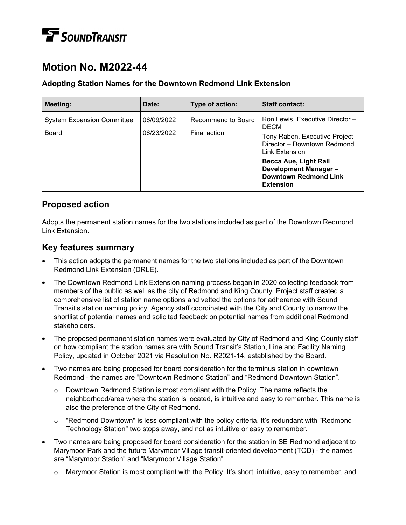# **T** SOUNDTRANSIT

# **Motion No. M2022-44**

#### **Adopting Station Names for the Downtown Redmond Link Extension**

| Meeting:                                          | Date:                    | Type of action:                    | <b>Staff contact:</b>                                                                                                                                                                                                                         |
|---------------------------------------------------|--------------------------|------------------------------------|-----------------------------------------------------------------------------------------------------------------------------------------------------------------------------------------------------------------------------------------------|
| <b>System Expansion Committee</b><br><b>Board</b> | 06/09/2022<br>06/23/2022 | Recommend to Board<br>Final action | Ron Lewis, Executive Director -<br><b>DECM</b><br>Tony Raben, Executive Project<br>Director - Downtown Redmond<br>Link Extension<br><b>Becca Aue, Light Rail</b><br>Development Manager -<br><b>Downtown Redmond Link</b><br><b>Extension</b> |

# **Proposed action**

Adopts the permanent station names for the two stations included as part of the Downtown Redmond Link Extension.

# **Key features summary**

- This action adopts the permanent names for the two stations included as part of the Downtown Redmond Link Extension (DRLE).
- The Downtown Redmond Link Extension naming process began in 2020 collecting feedback from members of the public as well as the city of Redmond and King County. Project staff created a comprehensive list of station name options and vetted the options for adherence with Sound Transit's station naming policy. Agency staff coordinated with the City and County to narrow the shortlist of potential names and solicited feedback on potential names from additional Redmond stakeholders.
- The proposed permanent station names were evaluated by City of Redmond and King County staff on how compliant the station names are with Sound Transit's Station, Line and Facility Naming Policy, updated in October 2021 via Resolution No. R2021-14, established by the Board.
- Two names are being proposed for board consideration for the terminus station in downtown Redmond - the names are "Downtown Redmond Station" and "Redmond Downtown Station".
	- $\circ$  Downtown Redmond Station is most compliant with the Policy. The name reflects the neighborhood/area where the station is located, is intuitive and easy to remember. This name is also the preference of the City of Redmond.
	- $\circ$  "Redmond Downtown" is less compliant with the policy criteria. It's redundant with "Redmond Technology Station" two stops away, and not as intuitive or easy to remember.
- Two names are being proposed for board consideration for the station in SE Redmond adjacent to Marymoor Park and the future Marymoor Village transit-oriented development (TOD) - the names are "Marymoor Station" and "Marymoor Village Station".
	- $\circ$  Marymoor Station is most compliant with the Policy. It's short, intuitive, easy to remember, and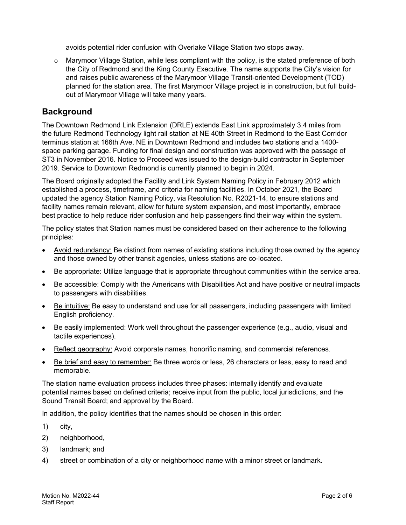avoids potential rider confusion with Overlake Village Station two stops away.

 $\circ$  Marymoor Village Station, while less compliant with the policy, is the stated preference of both the City of Redmond and the King County Executive. The name supports the City's vision for and raises public awareness of the Marymoor Village Transit-oriented Development (TOD) planned for the station area. The first Marymoor Village project is in construction, but full buildout of Marymoor Village will take many years.

#### **Background**

The Downtown Redmond Link Extension (DRLE) extends East Link approximately 3.4 miles from the future Redmond Technology light rail station at NE 40th Street in Redmond to the East Corridor terminus station at 166th Ave. NE in Downtown Redmond and includes two stations and a 1400 space parking garage. Funding for final design and construction was approved with the passage of ST3 in November 2016. Notice to Proceed was issued to the design-build contractor in September 2019. Service to Downtown Redmond is currently planned to begin in 2024.

The Board originally adopted the Facility and Link System Naming Policy in February 2012 which established a process, timeframe, and criteria for naming facilities. In October 2021, the Board updated the agency Station Naming Policy, via Resolution No. R2021-14, to ensure stations and facility names remain relevant, allow for future system expansion, and most importantly, embrace best practice to help reduce rider confusion and help passengers find their way within the system.

The policy states that Station names must be considered based on their adherence to the following principles:

- Avoid redundancy: Be distinct from names of existing stations including those owned by the agency and those owned by other transit agencies, unless stations are co-located.
- Be appropriate: Utilize language that is appropriate throughout communities within the service area.
- Be accessible: Comply with the Americans with Disabilities Act and have positive or neutral impacts to passengers with disabilities.
- Be intuitive: Be easy to understand and use for all passengers, including passengers with limited English proficiency.
- Be easily implemented: Work well throughout the passenger experience (e.g., audio, visual and tactile experiences).
- Reflect geography: Avoid corporate names, honorific naming, and commercial references.
- Be brief and easy to remember: Be three words or less, 26 characters or less, easy to read and memorable.

The station name evaluation process includes three phases: internally identify and evaluate potential names based on defined criteria; receive input from the public, local jurisdictions, and the Sound Transit Board; and approval by the Board.

In addition, the policy identifies that the names should be chosen in this order:

- 1) city,
- 2) neighborhood,
- 3) landmark; and
- 4) street or combination of a city or neighborhood name with a minor street or landmark.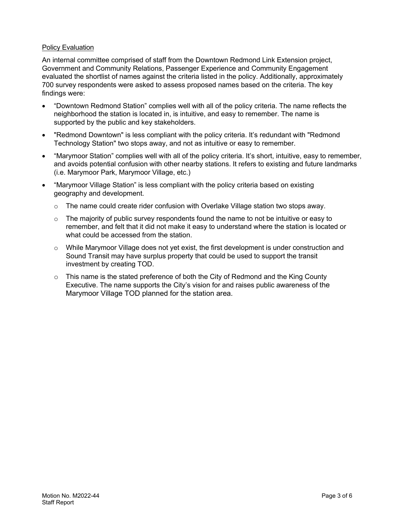#### **Policy Evaluation**

An internal committee comprised of staff from the Downtown Redmond Link Extension project, Government and Community Relations, Passenger Experience and Community Engagement evaluated the shortlist of names against the criteria listed in the policy. Additionally, approximately 700 survey respondents were asked to assess proposed names based on the criteria. The key findings were:

- "Downtown Redmond Station" complies well with all of the policy criteria. The name reflects the neighborhood the station is located in, is intuitive, and easy to remember. The name is supported by the public and key stakeholders.
- "Redmond Downtown" is less compliant with the policy criteria. It's redundant with "Redmond Technology Station" two stops away, and not as intuitive or easy to remember.
- "Marymoor Station" complies well with all of the policy criteria. It's short, intuitive, easy to remember, and avoids potential confusion with other nearby stations. It refers to existing and future landmarks (i.e. Marymoor Park, Marymoor Village, etc.)
- "Marymoor Village Station" is less compliant with the policy criteria based on existing geography and development.
	- $\circ$  The name could create rider confusion with Overlake Village station two stops away.
	- $\circ$  The majority of public survey respondents found the name to not be intuitive or easy to remember, and felt that it did not make it easy to understand where the station is located or what could be accessed from the station.
	- o While Marymoor Village does not yet exist, the first development is under construction and Sound Transit may have surplus property that could be used to support the transit investment by creating TOD.
	- $\circ$  This name is the stated preference of both the City of Redmond and the King County Executive. The name supports the City's vision for and raises public awareness of the Marymoor Village TOD planned for the station area.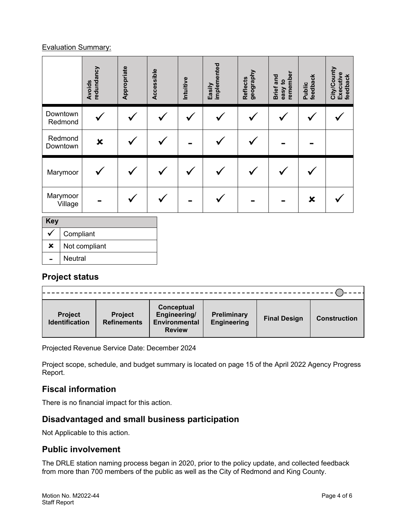#### Evaluation Summary:

|                |                     | redundancy<br><b>Avoids</b> | Appropriate | Accessible | Intuitive | Easily<br>implemented | geography<br><b>Reflects</b> | remember<br>Brief and<br>easy to | feedback<br>Public        | City/County<br>Executive<br>feedback |
|----------------|---------------------|-----------------------------|-------------|------------|-----------|-----------------------|------------------------------|----------------------------------|---------------------------|--------------------------------------|
|                | Downtown<br>Redmond |                             |             |            |           |                       | ✔                            |                                  |                           |                                      |
|                | Redmond<br>Downtown | ×                           |             |            |           |                       |                              |                                  |                           |                                      |
|                | Marymoor            |                             |             |            |           |                       | $\checkmark$                 |                                  |                           |                                      |
|                | Marymoor<br>Village |                             |             |            |           |                       |                              |                                  | $\boldsymbol{\mathsf{x}}$ |                                      |
| <b>Key</b>     |                     |                             |             |            |           |                       |                              |                                  |                           |                                      |
| √              | Compliant           |                             |             |            |           |                       |                              |                                  |                           |                                      |
| $\pmb{\times}$ | Not compliant       |                             |             |            |           |                       |                              |                                  |                           |                                      |

**Neutral** 

# **Project status**

| <b>Project</b><br><b>Identification</b> | <b>Project</b><br><b>Refinements</b> | Conceptual<br>Engineering/<br><b>Environmental</b><br><b>Review</b> | Preliminary<br><b>Engineering</b> | <b>Final Design</b> | <b>Construction</b> |  |  |  |  |
|-----------------------------------------|--------------------------------------|---------------------------------------------------------------------|-----------------------------------|---------------------|---------------------|--|--|--|--|

Projected Revenue Service Date: December 2024

Project scope, schedule, and budget summary is located on page 15 of the April 2022 Agency Progress Report.

# **Fiscal information**

There is no financial impact for this action.

### **Disadvantaged and small business participation**

Not Applicable to this action.

### **Public involvement**

The DRLE station naming process began in 2020, prior to the policy update, and collected feedback from more than 700 members of the public as well as the City of Redmond and King County.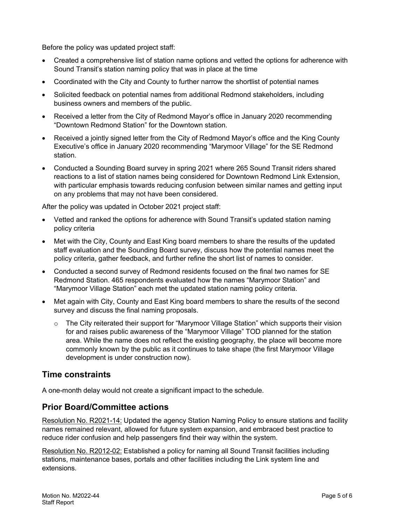Before the policy was updated project staff:

- Created a comprehensive list of station name options and vetted the options for adherence with Sound Transit's station naming policy that was in place at the time
- Coordinated with the City and County to further narrow the shortlist of potential names
- Solicited feedback on potential names from additional Redmond stakeholders, including business owners and members of the public.
- Received a letter from the City of Redmond Mayor's office in January 2020 recommending "Downtown Redmond Station" for the Downtown station.
- Received a jointly signed letter from the City of Redmond Mayor's office and the King County Executive's office in January 2020 recommending "Marymoor Village" for the SE Redmond station.
- Conducted a Sounding Board survey in spring 2021 where 265 Sound Transit riders shared reactions to a list of station names being considered for Downtown Redmond Link Extension, with particular emphasis towards reducing confusion between similar names and getting input on any problems that may not have been considered.

After the policy was updated in October 2021 project staff:

- Vetted and ranked the options for adherence with Sound Transit's updated station naming policy criteria
- Met with the City, County and East King board members to share the results of the updated staff evaluation and the Sounding Board survey, discuss how the potential names meet the policy criteria, gather feedback, and further refine the short list of names to consider.
- Conducted a second survey of Redmond residents focused on the final two names for SE Redmond Station. 465 respondents evaluated how the names "Marymoor Station" and "Marymoor Village Station" each met the updated station naming policy criteria.
- Met again with City, County and East King board members to share the results of the second survey and discuss the final naming proposals.
	- $\circ$  The City reiterated their support for "Marymoor Village Station" which supports their vision for and raises public awareness of the "Marymoor Village" TOD planned for the station area. While the name does not reflect the existing geography, the place will become more commonly known by the public as it continues to take shape (the first Marymoor Village development is under construction now).

### **Time constraints**

A one-month delay would not create a significant impact to the schedule.

#### **Prior Board/Committee actions**

Resolution No. R2021-14: Updated the agency Station Naming Policy to ensure stations and facility names remained relevant, allowed for future system expansion, and embraced best practice to reduce rider confusion and help passengers find their way within the system.

Resolution No. R2012-02: Established a policy for naming all Sound Transit facilities including stations, maintenance bases, portals and other facilities including the Link system line and extensions.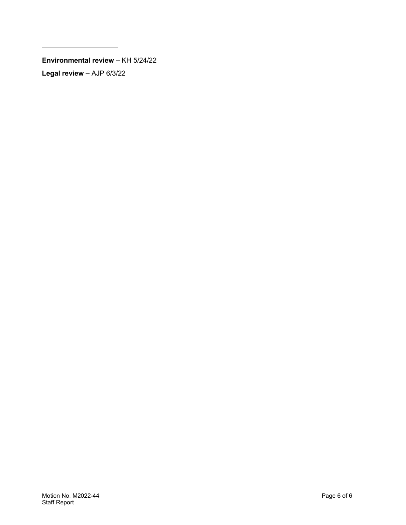**Environmental review –** KH 5/24/22 **Legal review –** AJP 6/3/22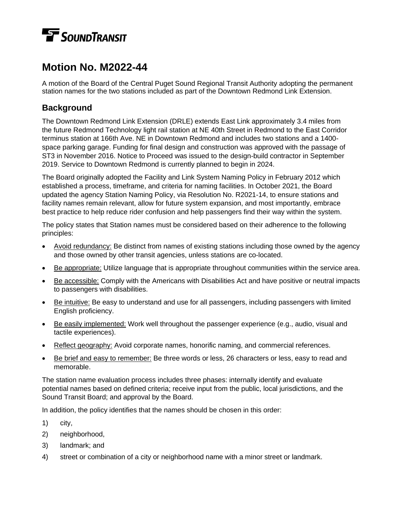# **TE** SOUNDTRANSIT

# **Motion No. M2022-44**

A motion of the Board of the Central Puget Sound Regional Transit Authority adopting the permanent station names for the two stations included as part of the Downtown Redmond Link Extension.

# **Background**

The Downtown Redmond Link Extension (DRLE) extends East Link approximately 3.4 miles from the future Redmond Technology light rail station at NE 40th Street in Redmond to the East Corridor terminus station at 166th Ave. NE in Downtown Redmond and includes two stations and a 1400 space parking garage. Funding for final design and construction was approved with the passage of ST3 in November 2016. Notice to Proceed was issued to the design-build contractor in September 2019. Service to Downtown Redmond is currently planned to begin in 2024.

The Board originally adopted the Facility and Link System Naming Policy in February 2012 which established a process, timeframe, and criteria for naming facilities. In October 2021, the Board updated the agency Station Naming Policy, via Resolution No. R2021-14, to ensure stations and facility names remain relevant, allow for future system expansion, and most importantly, embrace best practice to help reduce rider confusion and help passengers find their way within the system.

The policy states that Station names must be considered based on their adherence to the following principles:

- Avoid redundancy: Be distinct from names of existing stations including those owned by the agency and those owned by other transit agencies, unless stations are co-located.
- Be appropriate: Utilize language that is appropriate throughout communities within the service area.
- Be accessible: Comply with the Americans with Disabilities Act and have positive or neutral impacts to passengers with disabilities.
- Be intuitive: Be easy to understand and use for all passengers, including passengers with limited English proficiency.
- Be easily implemented: Work well throughout the passenger experience (e.g., audio, visual and tactile experiences).
- Reflect geography: Avoid corporate names, honorific naming, and commercial references.
- Be brief and easy to remember: Be three words or less, 26 characters or less, easy to read and memorable.

The station name evaluation process includes three phases: internally identify and evaluate potential names based on defined criteria; receive input from the public, local jurisdictions, and the Sound Transit Board; and approval by the Board.

In addition, the policy identifies that the names should be chosen in this order:

- 1) city,
- 2) neighborhood,
- 3) landmark; and
- 4) street or combination of a city or neighborhood name with a minor street or landmark.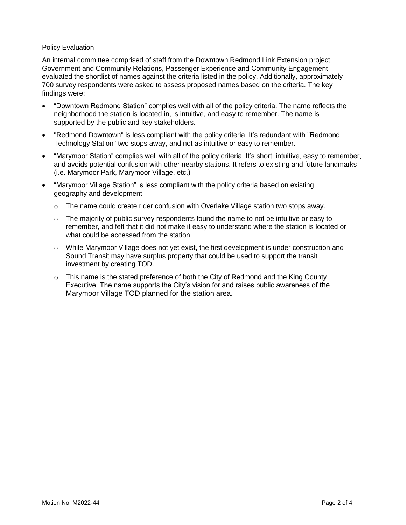#### Policy Evaluation

An internal committee comprised of staff from the Downtown Redmond Link Extension project, Government and Community Relations, Passenger Experience and Community Engagement evaluated the shortlist of names against the criteria listed in the policy. Additionally, approximately 700 survey respondents were asked to assess proposed names based on the criteria. The key findings were:

- "Downtown Redmond Station" complies well with all of the policy criteria. The name reflects the neighborhood the station is located in, is intuitive, and easy to remember. The name is supported by the public and key stakeholders.
- "Redmond Downtown" is less compliant with the policy criteria. It's redundant with "Redmond Technology Station" two stops away, and not as intuitive or easy to remember.
- "Marymoor Station" complies well with all of the policy criteria. It's short, intuitive, easy to remember, and avoids potential confusion with other nearby stations. It refers to existing and future landmarks (i.e. Marymoor Park, Marymoor Village, etc.)
- "Marymoor Village Station" is less compliant with the policy criteria based on existing geography and development.
	- $\circ$  The name could create rider confusion with Overlake Village station two stops away.
	- $\circ$  The majority of public survey respondents found the name to not be intuitive or easy to remember, and felt that it did not make it easy to understand where the station is located or what could be accessed from the station.
	- o While Marymoor Village does not yet exist, the first development is under construction and Sound Transit may have surplus property that could be used to support the transit investment by creating TOD.
	- $\circ$  This name is the stated preference of both the City of Redmond and the King County Executive. The name supports the City's vision for and raises public awareness of the Marymoor Village TOD planned for the station area.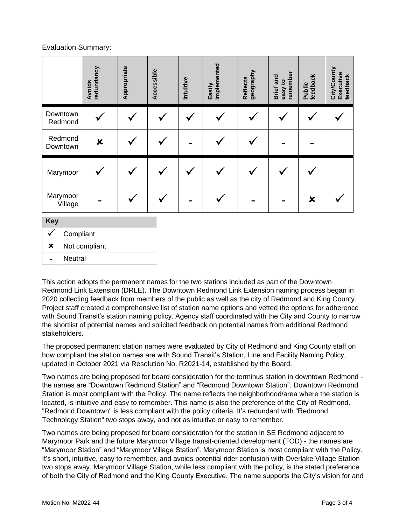#### Evaluation Summary:

**x** | Not compliant

- Neutral

|                              | redundancy<br>Avoids      | Appropriate | Accessible | Intuitive | Easily<br>implemented | geography<br><b>Reflects</b> | remember<br><b>Brief</b> and<br>easy to | feedback<br>Public        | City/County<br>Executive<br>feedback |
|------------------------------|---------------------------|-------------|------------|-----------|-----------------------|------------------------------|-----------------------------------------|---------------------------|--------------------------------------|
| Downtown<br>Redmond          |                           |             |            |           |                       |                              |                                         |                           |                                      |
| Redmond<br>Downtown          | $\boldsymbol{\mathsf{x}}$ |             |            |           |                       |                              |                                         |                           |                                      |
| Marymoor                     |                           |             |            |           |                       |                              |                                         |                           |                                      |
| Marymoor<br>Village          |                           |             |            |           |                       |                              |                                         | $\boldsymbol{\mathsf{x}}$ |                                      |
| <b>Key</b><br>Compliant<br>√ |                           |             |            |           |                       |                              |                                         |                           |                                      |

This action adopts the permanent names for the two stations included as part of the Downtown Redmond Link Extension (DRLE). The Downtown Redmond Link Extension naming process began in 2020 collecting feedback from members of the public as well as the city of Redmond and King County. Project staff created a comprehensive list of station name options and vetted the options for adherence with Sound Transit's station naming policy. Agency staff coordinated with the City and County to narrow the shortlist of potential names and solicited feedback on potential names from additional Redmond stakeholders.

The proposed permanent station names were evaluated by City of Redmond and King County staff on how compliant the station names are with Sound Transit's Station, Line and Facility Naming Policy, updated in October 2021 via Resolution No. R2021-14, established by the Board.

Two names are being proposed for board consideration for the terminus station in downtown Redmond the names are "Downtown Redmond Station" and "Redmond Downtown Station". Downtown Redmond Station is most compliant with the Policy. The name reflects the neighborhood/area where the station is located, is intuitive and easy to remember. This name is also the preference of the City of Redmond. "Redmond Downtown" is less compliant with the policy criteria. It's redundant with "Redmond Technology Station" two stops away, and not as intuitive or easy to remember.

Two names are being proposed for board consideration for the station in SE Redmond adjacent to Marymoor Park and the future Marymoor Village transit-oriented development (TOD) - the names are "Marymoor Station" and "Marymoor Village Station". Marymoor Station is most compliant with the Policy. It's short, intuitive, easy to remember, and avoids potential rider confusion with Overlake Village Station two stops away. Marymoor Village Station, while less compliant with the policy, is the stated preference of both the City of Redmond and the King County Executive. The name supports the City's vision for and